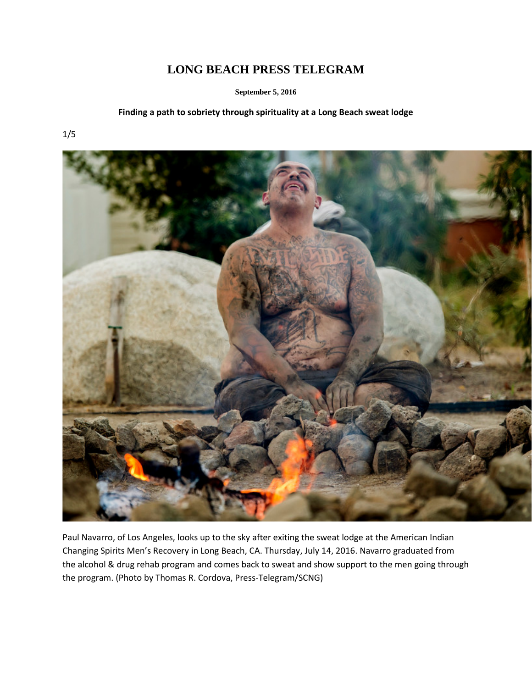# **LONG BEACH PRESS TELEGRAM**

**September 5, 2016**

### **Finding a path to sobriety through spirituality at a Long Beach sweat lodge**

1/5



Paul Navarro, of Los Angeles, looks up to the sky after exiting the sweat lodge at the American Indian Changing Spirits Men's Recovery in Long Beach, CA. Thursday, July 14, 2016. Navarro graduated from the alcohol & drug rehab program and comes back to sweat and show support to the men going through the program. (Photo by Thomas R. Cordova, Press-Telegram/SCNG)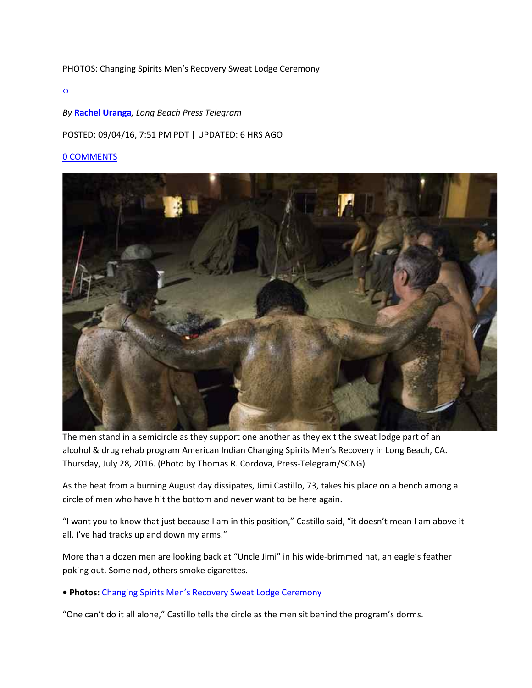#### PHOTOS: Changing Spirits Men's Recovery Sweat Lodge Ceremony

[‹›](javascript:void(0);)

#### *By* **[Rachel Uranga](http://www.presstelegram.com/health/20160904/finding-a-path-to-sobriety-through-spirituality-at-a-long-beach-sweat-lodge#author1)***, Long Beach Press Telegram*

#### POSTED: 09/04/16, 7:51 PM PDT | UPDATED: 6 HRS AGO

#### [0 COMMENTS](http://www.presstelegram.com/health/20160904/finding-a-path-to-sobriety-through-spirituality-at-a-long-beach-sweat-lodge#disqus_thread)



The men stand in a semicircle as they support one another as they exit the sweat lodge part of an alcohol & drug rehab program American Indian Changing Spirits Men's Recovery in Long Beach, CA. Thursday, July 28, 2016. (Photo by Thomas R. Cordova, Press-Telegram/SCNG)

As the heat from a burning August day dissipates, Jimi Castillo, 73, takes his place on a bench among a circle of men who have hit the bottom and never want to be here again.

"I want you to know that just because I am in this position," Castillo said, "it doesn't mean I am above it all. I've had tracks up and down my arms."

More than a dozen men are looking back at "Uncle Jimi" in his wide-brimmed hat, an eagle's feather poking out. Some nod, others smoke cigarettes.

**• Photos:** [Changing Spirits Men's Recovery Sweat Lodge Ceremony](http://photos.presstelegram.com/2016/09/photos-changing-spirits-mens-recovery-sweat-lodge-ceremony/)

"One can't do it all alone," Castillo tells the circle as the men sit behind the program's dorms.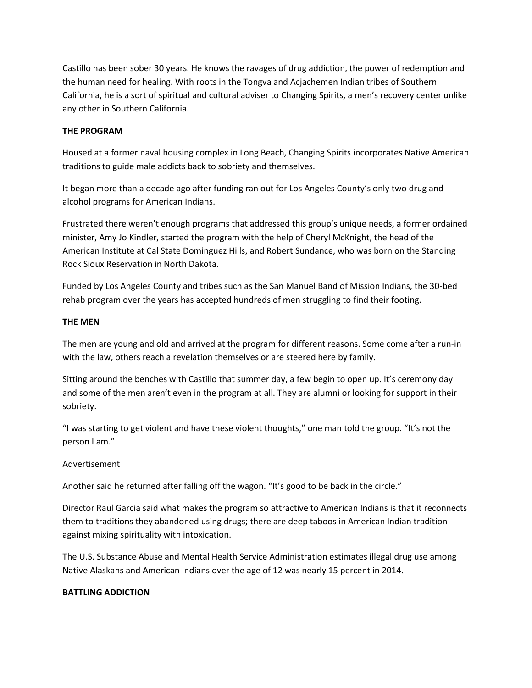Castillo has been sober 30 years. He knows the ravages of drug addiction, the power of redemption and the human need for healing. With roots in the Tongva and Acjachemen Indian tribes of Southern California, he is a sort of spiritual and cultural adviser to Changing Spirits, a men's recovery center unlike any other in Southern California.

## **THE PROGRAM**

Housed at a former naval housing complex in Long Beach, Changing Spirits incorporates Native American traditions to guide male addicts back to sobriety and themselves.

It began more than a decade ago after funding ran out for Los Angeles County's only two drug and alcohol programs for American Indians.

Frustrated there weren't enough programs that addressed this group's unique needs, a former ordained minister, Amy Jo Kindler, started the program with the help of Cheryl McKnight, the head of the American Institute at Cal State Dominguez Hills, and Robert Sundance, who was born on the Standing Rock Sioux Reservation in North Dakota.

Funded by Los Angeles County and tribes such as the San Manuel Band of Mission Indians, the 30-bed rehab program over the years has accepted hundreds of men struggling to find their footing.

## **THE MEN**

The men are young and old and arrived at the program for different reasons. Some come after a run-in with the law, others reach a revelation themselves or are steered here by family.

Sitting around the benches with Castillo that summer day, a few begin to open up. It's ceremony day and some of the men aren't even in the program at all. They are alumni or looking for support in their sobriety.

"I was starting to get violent and have these violent thoughts," one man told the group. "It's not the person I am."

## Advertisement

Another said he returned after falling off the wagon. "It's good to be back in the circle."

Director Raul Garcia said what makes the program so attractive to American Indians is that it reconnects them to traditions they abandoned using drugs; there are deep taboos in American Indian tradition against mixing spirituality with intoxication.

The U.S. Substance Abuse and Mental Health Service Administration estimates illegal drug use among Native Alaskans and American Indians over the age of 12 was nearly 15 percent in 2014.

## **BATTLING ADDICTION**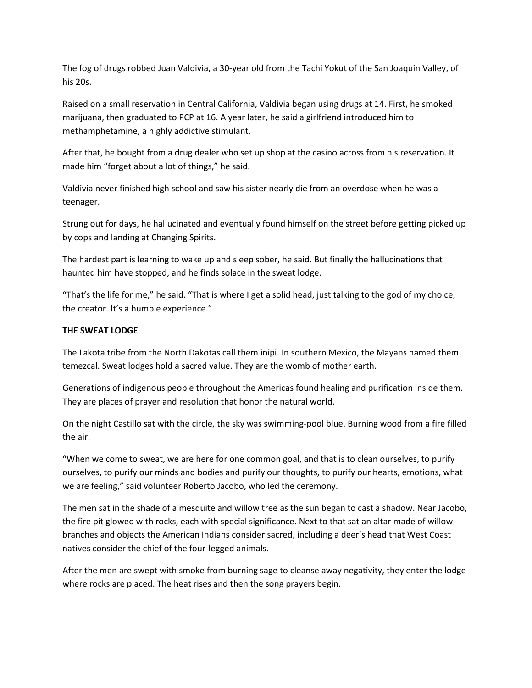The fog of drugs robbed Juan Valdivia, a 30-year old from the Tachi Yokut of the San Joaquin Valley, of his 20s.

Raised on a small reservation in Central California, Valdivia began using drugs at 14. First, he smoked marijuana, then graduated to PCP at 16. A year later, he said a girlfriend introduced him to methamphetamine, a highly addictive stimulant.

After that, he bought from a drug dealer who set up shop at the casino across from his reservation. It made him "forget about a lot of things," he said.

Valdivia never finished high school and saw his sister nearly die from an overdose when he was a teenager.

Strung out for days, he hallucinated and eventually found himself on the street before getting picked up by cops and landing at Changing Spirits.

The hardest part is learning to wake up and sleep sober, he said. But finally the hallucinations that haunted him have stopped, and he finds solace in the sweat lodge.

"That's the life for me," he said. "That is where I get a solid head, just talking to the god of my choice, the creator. It's a humble experience."

## **THE SWEAT LODGE**

The Lakota tribe from the North Dakotas call them inipi. In southern Mexico, the Mayans named them temezcal. Sweat lodges hold a sacred value. They are the womb of mother earth.

Generations of indigenous people throughout the Americas found healing and purification inside them. They are places of prayer and resolution that honor the natural world.

On the night Castillo sat with the circle, the sky was swimming-pool blue. Burning wood from a fire filled the air.

"When we come to sweat, we are here for one common goal, and that is to clean ourselves, to purify ourselves, to purify our minds and bodies and purify our thoughts, to purify our hearts, emotions, what we are feeling," said volunteer Roberto Jacobo, who led the ceremony.

The men sat in the shade of a mesquite and willow tree as the sun began to cast a shadow. Near Jacobo, the fire pit glowed with rocks, each with special significance. Next to that sat an altar made of willow branches and objects the American Indians consider sacred, including a deer's head that West Coast natives consider the chief of the four-legged animals.

After the men are swept with smoke from burning sage to cleanse away negativity, they enter the lodge where rocks are placed. The heat rises and then the song prayers begin.